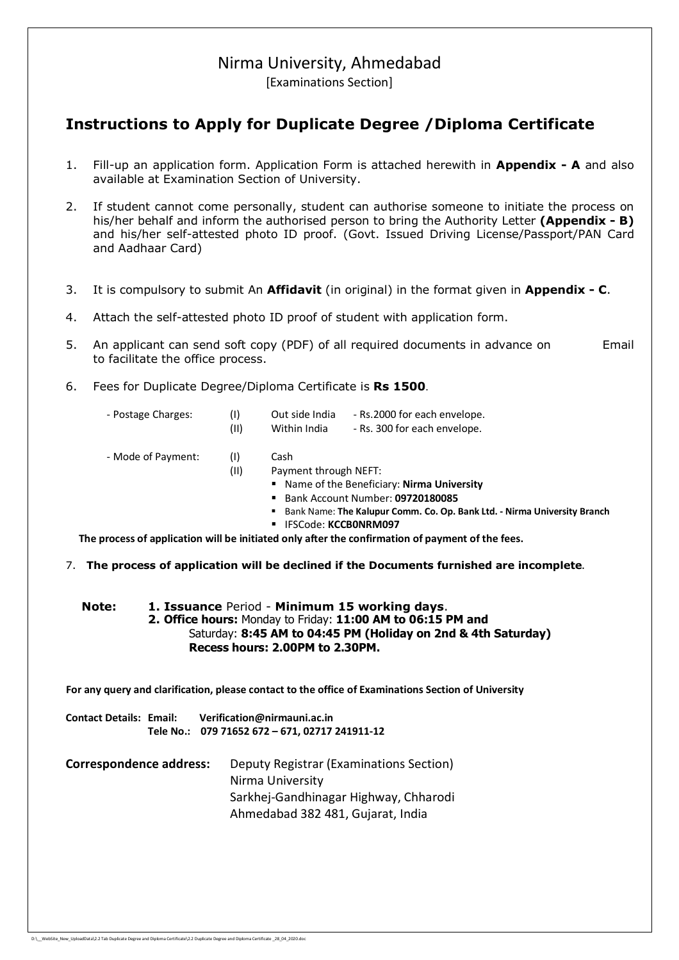# Nirma University, Ahmedabad

[Examinations Section]

## **Instructions to Apply for Duplicate Degree /Diploma Certificate**

- 1. Fill-up an application form. Application Form is attached herewith in **Appendix A** and also available at Examination Section of University.
- 2. If student cannot come personally, student can authorise someone to initiate the process on his/her behalf and inform the authorised person to bring the Authority Letter **(Appendix - B)** and his/her self-attested photo ID proof. (Govt. Issued Driving License/Passport/PAN Card and Aadhaar Card)
- 3. It is compulsory to submit An **Affidavit** (in original) in the format given in **Appendix - C**.
- 4. Attach the self-attested photo ID proof of student with application form.
- 5. An applicant can send soft copy (PDF) of all required documents in advance on Email to facilitate the office process.
- 6. Fees for Duplicate Degree/Diploma Certificate is **Rs 1500**.
	- Postage Charges: (I) Out side India Rs.2000 for each envelope. (II) Within India - Rs. 300 for each envelope.
	- Mode of Payment: (I) Cash
		- (II) Payment through NEFT:
			- Name of the Beneficiary: **Nirma University**
			- Bank Account Number: **09720180085**
			- Bank Name: **The Kalupur Comm. Co. Op. Bank Ltd. Nirma University Branch**

DupSGR/01-2018/631 to 800

IFSCode: **KCCB0NRM097**

 **The process of application will be initiated only after the confirmation of payment of the fees.**

7. **The process of application will be declined if the Documents furnished are incomplete**.

#### **Note: 1. Issuance** Period - **Minimum 15 working days**. **2. Office hours:** Monday to Friday: **11:00 AM to 06:15 PM and** Saturday: **8:45 AM to 04:45 PM (Holiday on 2nd & 4th Saturday) Recess hours: 2.00PM to 2.30PM.**

 **For any query and clarification, please contact to the office of Examinations Section of University**

**Contact Details: Email: Verification@nirmauni.ac.in Tele No.: 079 71652 672 – 671, 02717 241911-12**

**Correspondence address:** Deputy Registrar (Examinations Section) Nirma University Sarkhej-Gandhinagar Highway, Chharodi Ahmedabad 382 481, Gujarat, India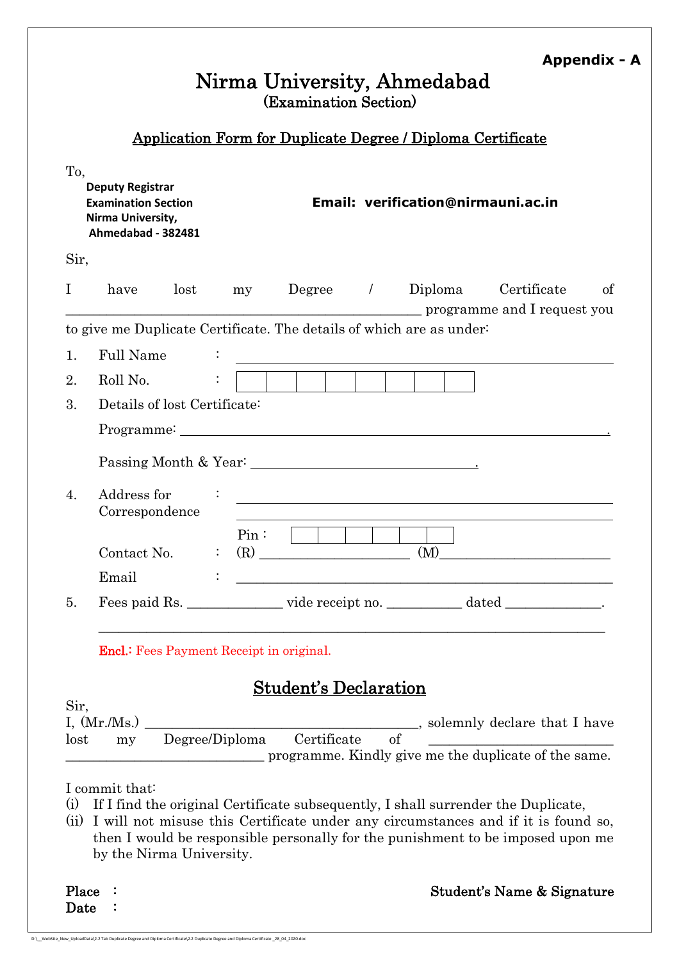|                                    |                                                                                                  |      |                |                              |  | Nirma University, Ahmedabad                                          | <b>Appendix - A</b>                                                                |    |
|------------------------------------|--------------------------------------------------------------------------------------------------|------|----------------|------------------------------|--|----------------------------------------------------------------------|------------------------------------------------------------------------------------|----|
|                                    |                                                                                                  |      |                | (Examination Section)        |  |                                                                      |                                                                                    |    |
|                                    |                                                                                                  |      |                |                              |  | <b>Application Form for Duplicate Degree / Diploma Certificate</b>   |                                                                                    |    |
| To,                                | <b>Deputy Registrar</b><br><b>Examination Section</b><br>Nirma University,<br>Ahmedabad - 382481 |      |                |                              |  | Email: verification@nirmauni.ac.in                                   |                                                                                    |    |
| Sir,                               |                                                                                                  |      |                |                              |  |                                                                      |                                                                                    |    |
| $\bf{l}$                           | have                                                                                             | lost | my             | $Degree \qquad /$            |  |                                                                      | Diploma Certificate<br>programme and I request you                                 | of |
|                                    |                                                                                                  |      |                |                              |  | to give me Duplicate Certificate. The details of which are as under- |                                                                                    |    |
| 1.                                 | <b>Full Name</b>                                                                                 |      |                |                              |  |                                                                      |                                                                                    |    |
| 2.                                 | Roll No.                                                                                         |      |                |                              |  |                                                                      |                                                                                    |    |
| 3.<br>Details of lost Certificate: |                                                                                                  |      |                |                              |  |                                                                      |                                                                                    |    |
|                                    |                                                                                                  |      |                |                              |  |                                                                      |                                                                                    |    |
|                                    |                                                                                                  |      |                |                              |  |                                                                      |                                                                                    |    |
| 4.                                 | Address for<br>Correspondence                                                                    |      |                |                              |  |                                                                      | <u> 1980 - Johann Barn, fransk politik (f. 1980)</u>                               |    |
|                                    | Contact No.                                                                                      |      | Pin:<br>(R)    |                              |  | (M)                                                                  |                                                                                    |    |
|                                    | Email                                                                                            |      |                |                              |  |                                                                      |                                                                                    |    |
| 5.                                 |                                                                                                  |      |                |                              |  |                                                                      | Fees paid Rs. ________________vide receipt no. _______________ dated ____________. |    |
|                                    | <b>Encl.:</b> Fees Payment Receipt in original.                                                  |      |                |                              |  |                                                                      |                                                                                    |    |
|                                    |                                                                                                  |      |                | <b>Student's Declaration</b> |  |                                                                      |                                                                                    |    |
| Sir,                               | I, $(Mr/Ms.)$                                                                                    |      |                |                              |  |                                                                      | solemnly declare that I have                                                       |    |
| lost                               | my                                                                                               |      | Degree/Diploma | Certificate                  |  | of                                                                   | programme. Kindly give me the duplicate of the same.                               |    |
| (i)                                | I commit that:                                                                                   |      |                |                              |  |                                                                      | If I find the original Certificate subsequently, I shall surrender the Duplicate,  |    |

(ii) I will not misuse this Certificate under any circumstances and if it is found so, then I would be responsible personally for the punishment to be imposed upon me by the Nirma University.

| Place |  |
|-------|--|
| Date  |  |

**Place : Student's Name & Signature** 

DupSGR/01-2018/631 to 800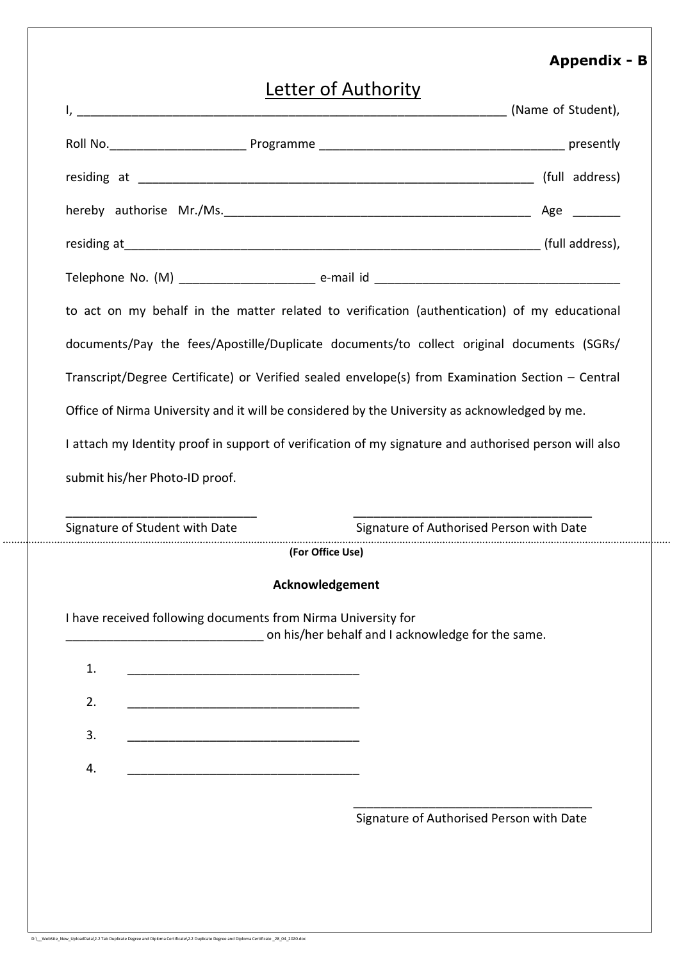### **Appendix - B**

DupSGR/01-2018/631 to 800

| Letter of Authority                                                                                                          |                                          |  |  |  |  |
|------------------------------------------------------------------------------------------------------------------------------|------------------------------------------|--|--|--|--|
|                                                                                                                              |                                          |  |  |  |  |
|                                                                                                                              |                                          |  |  |  |  |
|                                                                                                                              |                                          |  |  |  |  |
|                                                                                                                              |                                          |  |  |  |  |
|                                                                                                                              |                                          |  |  |  |  |
| to act on my behalf in the matter related to verification (authentication) of my educational                                 |                                          |  |  |  |  |
| documents/Pay the fees/Apostille/Duplicate documents/to collect original documents (SGRs/                                    |                                          |  |  |  |  |
| Transcript/Degree Certificate) or Verified sealed envelope(s) from Examination Section - Central                             |                                          |  |  |  |  |
| Office of Nirma University and it will be considered by the University as acknowledged by me.                                |                                          |  |  |  |  |
| I attach my Identity proof in support of verification of my signature and authorised person will also                        |                                          |  |  |  |  |
|                                                                                                                              |                                          |  |  |  |  |
|                                                                                                                              | Signature of Authorised Person with Date |  |  |  |  |
| submit his/her Photo-ID proof.<br>(For Office Use)                                                                           |                                          |  |  |  |  |
| Acknowledgement                                                                                                              |                                          |  |  |  |  |
| I have received following documents from Nirma University for<br>on his/her behalf and I acknowledge for the same.           |                                          |  |  |  |  |
| 1.                                                                                                                           |                                          |  |  |  |  |
| 2.<br><u> 1989 - Johann Barbara, martxa alemani</u> ar espainiar arte a la construcción de la construcción de la construcció |                                          |  |  |  |  |
| Signature of Student with Date<br>3.                                                                                         |                                          |  |  |  |  |
| 4.<br><u> 1989 - Johann Barn, fransk politik (d. 1989)</u>                                                                   |                                          |  |  |  |  |
|                                                                                                                              |                                          |  |  |  |  |